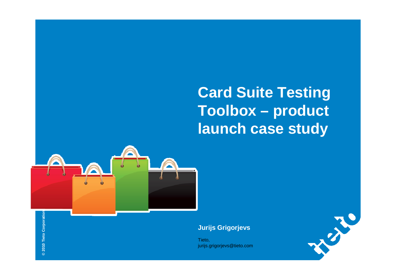### **Card Suite Testing Toolbox – product launch case study**



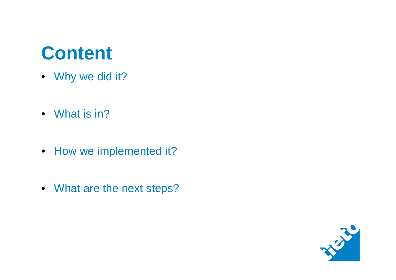### **Content**

- Why we did it?
- What is in?
- How we implemented it?
- What are the next steps?

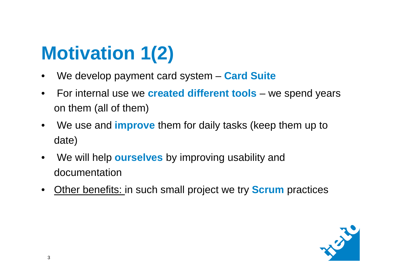# **Motivation 1(2)**

- $\bullet$ We develop payment card system – **Card Suite**
- $\bullet$  For internal use we **created different tools** – we spend years on them (all of them)
- $\bullet$  We use and **improve** them for daily tasks (keep them up to date)
- $\bullet$  We will help **ourselves** by improving usability and documentation
- $\bullet$ Other benefits: in such small project we try **Scrum** practices

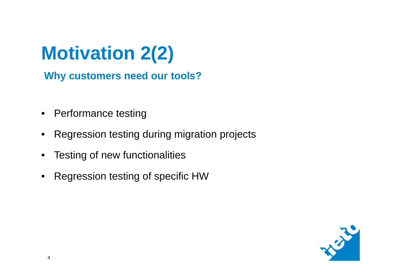# **Motivation 2(2)**

**Why customers need our tools?**

- Performance testing
- $\bullet$ Regression testing during migration projects
- $\bullet$ Testing of new functionalities
- $\bullet$ Regression testing of specific HW

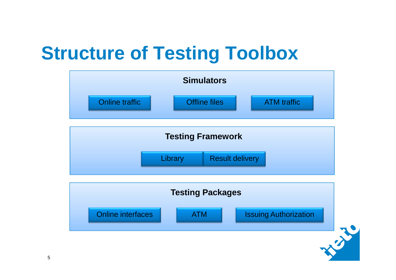# **Structure of Testing Toolbox**

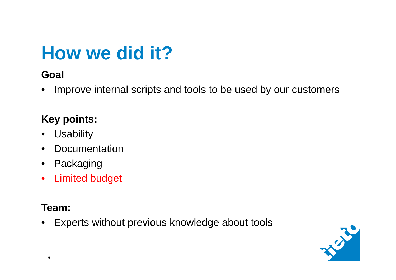# **How we did it?**

#### **Goal**

 $\bullet$ Improve internal scripts and tools to be used by our customers

### **Key points:**

- $\bullet$ **Usability**
- $\bullet$ **Documentation**
- $\bullet$ Packaging
- Limited budget  $\bullet$

#### **Team:**

• Experts without previous knowledge about tools

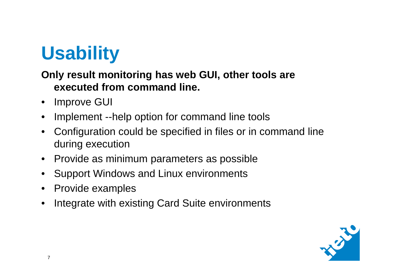# **Usability**

#### **Only result monitoring has web GUI, other tools areexecuted from command line.**

- $\bullet$ Improve GUI
- $\bullet$ Implement --help option for command line tools
- • Configuration could be specified in files or in command line during execution
- $\bullet$ Provide as minimum parameters as possible
- •Support Windows and Linux environments
- $\bullet$ Provide examples
- $\bullet$ Integrate with existing Card Suite environments

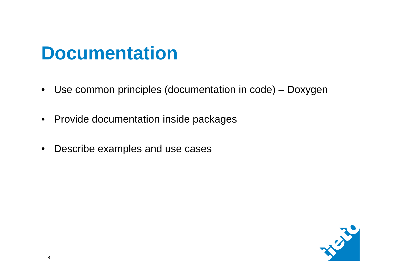### **Documentation**

- $\bullet$ Use common principles (documentation in code) – Doxygen
- Provide documentation inside packages
- $\bullet$ Describe examples and use cases

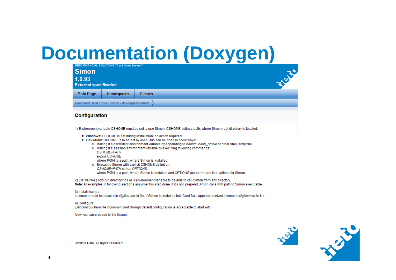### **Documentation (Doxygen)**

| <b>Simon</b><br>1.0.93<br><b>External specification</b>                                                                                                                                                                                                                                                                                                                                                                                                                                                                                                                                                                                                                                                                                           | TIETO FINANCIAL SOLUTIONS "Card Suite System"     |                |                                                                                                                                                                                                                                              | <b>BRY</b> |  |  |  |  |
|---------------------------------------------------------------------------------------------------------------------------------------------------------------------------------------------------------------------------------------------------------------------------------------------------------------------------------------------------------------------------------------------------------------------------------------------------------------------------------------------------------------------------------------------------------------------------------------------------------------------------------------------------------------------------------------------------------------------------------------------------|---------------------------------------------------|----------------|----------------------------------------------------------------------------------------------------------------------------------------------------------------------------------------------------------------------------------------------|------------|--|--|--|--|
| <b>Main Page</b>                                                                                                                                                                                                                                                                                                                                                                                                                                                                                                                                                                                                                                                                                                                                  | Namespaces                                        | <b>Classes</b> |                                                                                                                                                                                                                                              |            |  |  |  |  |
|                                                                                                                                                                                                                                                                                                                                                                                                                                                                                                                                                                                                                                                                                                                                                   | Card Suite Test Tools : Simon - Developer's Guide |                |                                                                                                                                                                                                                                              |            |  |  |  |  |
| <b>Configuration</b>                                                                                                                                                                                                                                                                                                                                                                                                                                                                                                                                                                                                                                                                                                                              |                                                   |                |                                                                                                                                                                                                                                              |            |  |  |  |  |
| 1) Environment variable CSHOME must be set to use Simon; CSHOME defines path, where Simon root directory is located.<br>. Windows: CSHOME is set during installation, no action required<br>• Linux/Unix: CSHOME is to be set by user. This can be done in a few ways:<br>a. Making it a persistent environment variable by appending to bashrc, bash profile or other shell script file<br>b. Making it a session environment variable by executing following commands:<br>CSHOME=PATH<br>export CSHOME<br>where PATH is a path, where Simon is installed.<br>c. Executing Simon with explicit CSHOME definition:<br>CSHOME=PATH simon OPTIONS<br>where PATH is a path, where Simon is installed and OPTIONS are command line options for Simon. |                                                   |                |                                                                                                                                                                                                                                              |            |  |  |  |  |
|                                                                                                                                                                                                                                                                                                                                                                                                                                                                                                                                                                                                                                                                                                                                                   |                                                   |                | 2) (OPTIONAL) Add bin directory to PATH environment variable to be able to call Simon from any directory.<br>Note: All examples in following sections assume this step done. If it's not, prepend Simon calls with path to Simon executable. |            |  |  |  |  |
| 3) Install license                                                                                                                                                                                                                                                                                                                                                                                                                                                                                                                                                                                                                                                                                                                                |                                                   |                | License should be located in cfg/license.txt file. If Simon is installed into Card Suit, append received license to cfg/license.txt file.                                                                                                    |            |  |  |  |  |
| 4) Configure                                                                                                                                                                                                                                                                                                                                                                                                                                                                                                                                                                                                                                                                                                                                      |                                                   |                | Edit configuration file cfg/simon.conf, though default configuration is acceptable to start with.                                                                                                                                            |            |  |  |  |  |
|                                                                                                                                                                                                                                                                                                                                                                                                                                                                                                                                                                                                                                                                                                                                                   | Now you can proceed to the Usage.                 |                |                                                                                                                                                                                                                                              |            |  |  |  |  |





@2010 Tieto. All rights reserved.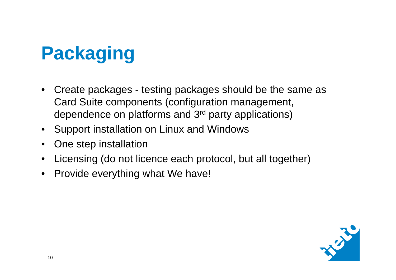# **Packaging**

- $\bullet$  Create packages - testing packages should be the same as Card Suite components (configuration management, dependence on platforms and 3rd party applications)
- $\bullet$ Support installation on Linux and Windows
- $\bullet$ One step installation
- $\bullet$ Licensing (do not licence each protocol, but all together)
- $\bullet$ Provide everything what We have!

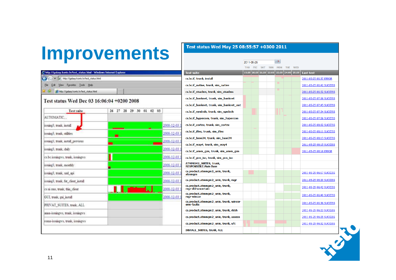### **Improvements**

v B http://galaxy.konts.lv/test\_status.html

#### Test status Wed May 25 08:55:57 +0300 2011 |田田 2011-05-25 THU FRT SAT SUN MON TUE WED  $\sqrt{19.05}$  20.05 21.05 22.05 23.05 24.05 25.05 Last test http://galaxy.konts.lv/test\_status.html - Windows Internet Explorer **Test suite** cs.bc.if, trunk, install 2011-05-25 06:37 ERROR cs.bc.if native, trunk, sim native 2011-05-25 06:42 SUCCESS cs.bc.if visadms, trunk, sim visadms 2011-05-25 06:52 SUCCESS cs.bc.if banknet. trunk. sim banknet 2011-05-25 07:06 SUCCESS cs.bc.if banknet, trunk, sim banknet out 2011-05-25 07:45 SUCCESS 26 27 28 29 30 01 02 03 2011-05-25 07:54 SUCCESS cs.bc.if symbols, trunk, sim symbols 2011-05-25 07:56 SUCCESS cs.bc.if\_hypercom, trunk, sim\_hypercom cs.bc.if\_cortex, trunk, sim\_cortex 2011-05-25 08:02 SUCCESS 2008-12-03 cs.bc.if\_iflex, trunk, sim\_iflex 2011-05-25 08:11 SUCCESS 2008-12-03 cs.bc.if base24, trunk, sim base24 2011-05-25 08:13 SUCCESS 2008-12-03 cs.bc.if\_way4, trunk, sim\_way4 2011-05-25 08:15 SUCCESS 2008-12-03 cs.bc.if amex gns, trunk, sim amex gns 2011-05-25 08:16 ERROR 2008-12-03 cs.bc.if\_pos\_iso, trunk, sim\_pos\_iso ATMMGM2\_SUTTES, trunk, 2008-12-03 **RESPONSIBLE: Aivis Buss** cs.product.atmmgm2\_unix. trunk. 2011-05-25 06:17 SUCCESS 2008-12-03 atmmam cs.product.atmmgm2\_unix, trunk, regr 2011-05-25 06:20 SUCCESS 2008-12-03 cs.product.atmmgm2\_unix, trunk, 2011-05-25 06:42 SUCCESS regr-dbl-uncertain 2008-12-03 cs.product.atmmgm2\_unix, trunk, 2011-05-25 06:40 SUCCESS 2008-12-03 rear-wincor cs.product.atmmgm2\_unix, trunk, wincor-2011-05-25 06:36 SUCCESS emv-faults 2011-05-25 06:23 SUCCESS cs.product.atmmgm2\_unix, trunk, rbbh cs.product.atmmgm2 unix, trunk, asseco 2011-05-25 06:25 SUCCESS cs.product.atmmgm2\_unix, trunk, ufc 2011-05-25 06:32 SUCCESS **INSTALL\_SUITES, trunk, ALL**



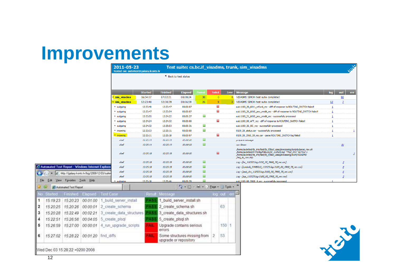### **Improvements**

|                                                     | 2011-05-23<br>Tested on: autotest@galaxy.konts.lv |                |                 |                     |        |                             |       | Test suite: cs.bc.if_visadms, trunk, sim_visadms                                                                                                                                                                                       |           |     | <b>PERSON</b> |
|-----------------------------------------------------|---------------------------------------------------|----------------|-----------------|---------------------|--------|-----------------------------|-------|----------------------------------------------------------------------------------------------------------------------------------------------------------------------------------------------------------------------------------------|-----------|-----|---------------|
|                                                     |                                                   |                |                 | Back to test status |        |                             |       |                                                                                                                                                                                                                                        |           |     |               |
|                                                     |                                                   |                |                 |                     |        |                             |       |                                                                                                                                                                                                                                        |           |     |               |
|                                                     |                                                   |                |                 |                     |        |                             |       |                                                                                                                                                                                                                                        |           |     |               |
|                                                     |                                                   | <b>Started</b> | <b>Finished</b> | <b>Elapsed</b>      | Passed | <b>Failed</b>               | Error | <b>Message</b>                                                                                                                                                                                                                         | log       | out | err           |
|                                                     | > sim visadms                                     | 06:54:07       | 07:02:31        | 00:08:24            | 38     | $\overline{0}$              |       | VISADMS SIMON test suite completed                                                                                                                                                                                                     |           | 98  |               |
|                                                     | $\sim$ sim visadms                                | 12:23:40       | 12:30:39        | 00:06:59            | 26     | -9                          |       | VISADMS SIMON test suite completed                                                                                                                                                                                                     | <u>12</u> |     |               |
|                                                     | • outgoing                                        | 12:23:40       | 12:23:47        | 00:00:07            |        | <b>Co</b>                   |       | out.1100 20 6011 refund rec - diff of response to ROUTING SWITCH failed!                                                                                                                                                               |           |     |               |
|                                                     | * outgoing                                        | 12:23:47       | 12:23:54        | 00:00:07            |        | a.                          |       | out. 1100_26_6010_pay_credit_rec - diff of response to ROUTING_SWITCH failed!                                                                                                                                                          |           |     |               |
|                                                     | * outgoing                                        | 12:23:55       | 12:24:22        | 00:00:27            |        |                             |       | out. 1100_21_6010_pay_credit_rec - successfully processed                                                                                                                                                                              |           |     |               |
|                                                     | • outgoing                                        | 12:24:24       | 12:24:32        | 00:00:08            |        | $\blacksquare$              |       | out. 1100 00 AFT rec - diff of response to ROUTING SWITCH failed!                                                                                                                                                                      |           |     |               |
|                                                     | • outgoing                                        | 12:24:32       | 12:25:03        | 00:00:31            |        |                             |       | out. 1100_26_OC_rec - successfully processed                                                                                                                                                                                           |           |     |               |
|                                                     | * incoming                                        | 12:25:03       | 12:25:11        | 00:00:08            |        |                             |       | 0100_00_status.cor - successfully processed                                                                                                                                                                                            |           |     |               |
|                                                     | v incoming                                        | 12:25:11       | 12:25:18        | 00:00:07            |        | ÷.                          |       | 0100_00_5968_59_rec.cor - parse ROUTING_SWITCH log failed!                                                                                                                                                                             |           |     |               |
|                                                     | shell                                             | 12:25:11       | 12:25:11        | 00:00:00            |        |                             |       | prepare message                                                                                                                                                                                                                        |           |     |               |
|                                                     | shell                                             | 12:25:11       | 12:25:13        | 00:00:02            |        |                             |       | run Simon                                                                                                                                                                                                                              |           | 81  |               |
|                                                     | shell                                             | 12:25:18       | 12:25:18        | 00:00:00            |        | $\mathcal{L}_{\mathcal{A}}$ |       | /home/autotest/te_trm/test/ts_if/test_case/processing/scripts/parse_rsw.sh<br>/home/autotest/RTPS/log/FIELDLOG_110523.log "^FLD_011" 427112 ><br>/home/autotest/te_trm/test/ts_if/test_case/processing/work/VISADMS<br>/req_to_rsw.tmp |           |     |               |
|                                                     | shell                                             | 12:25:18       | 12:25:18        | 00:00:00            |        |                             |       | Log - [loc_110523.log.0100_00_5968_59_rec.cor].                                                                                                                                                                                        |           |     |               |
| C Automated Test Report - Windows Internet Explorer | shell                                             | 12:25:18       | 12:25:18        | 00:00:00            |        |                             |       | Log - [symbols_SYMBOLS_110523.log.0100_00_5968_59_rec.cor].                                                                                                                                                                            |           |     |               |
| http://galaxy.konts.lv/log/2009-12-03/suite-        | shell                                             | 12:25:18       | 12:25:18        | 00:00:00            |        |                             |       | Log - [task_drv_110523.log.0100_00_5968_59_rec.cor].                                                                                                                                                                                   |           |     |               |
|                                                     | shell                                             | 12:25:18       | 12:25:18        | 00:00:00            |        |                             |       | Log - [tcp 110523.log.0100 00 5968 59 rec.cor].                                                                                                                                                                                        |           |     |               |
| Hop.<br>Tools<br><b>IMVOKEES</b>                    | • outgoing                                        | 12:25:18       | 12:25:46        | 00:00:28            |        |                             |       | out. 1100 00 5968 4 rec - successfully processed                                                                                                                                                                                       |           |     |               |

|   | No Staned |                                       | Finished Elapsed Test Case                        | Renue Message                                           | log out en |  |
|---|-----------|---------------------------------------|---------------------------------------------------|---------------------------------------------------------|------------|--|
|   |           |                                       | 15.19.23 15.20.23 00.01.00 1 build server install | 1 build server install.sh                               |            |  |
| 2 |           |                                       | 15:20:25 15:20:26 00:00:01 2 create schema        | 2 create_schema.sh                                      | 63         |  |
| з | 15,20.28  |                                       | 15.22.49 00.02.21 3 create_data_structures        | 3_create_data_structures.sh                             |            |  |
|   | 15 22:51  |                                       | 15.26.56 00.04.05 5 create plsql                  | 5 create plsgl.sh                                       |            |  |
| 5 |           |                                       | 15.26.59 15.27.00 00.00.01 4 run_upgrade_scripts  | Upgrade contains serious<br>errors                      | 150:1      |  |
| 6 |           | 15 27.02 15 28 22 00:01:20 find_diffs |                                                   | Some structures missing from 2<br>upgrade or repository | 53.        |  |

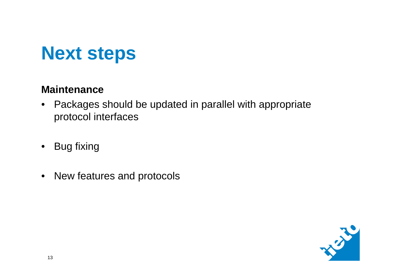

#### **Maintenance**

- $\bullet$  Packages should be updated in parallel with appropriate protocol interfaces
- Bug fixing
- New features and protocols

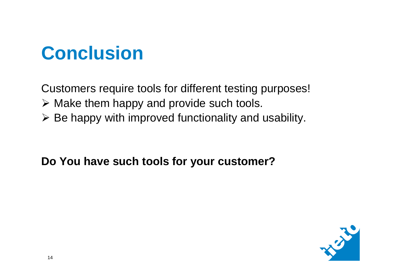## **Conclusion**

Customers require tools for different testing purposes! $\triangleright$  Make them happy and provide such tools.

 $\triangleright$  Be happy with improved functionality and usability.

**Do You have such tools for your customer?**